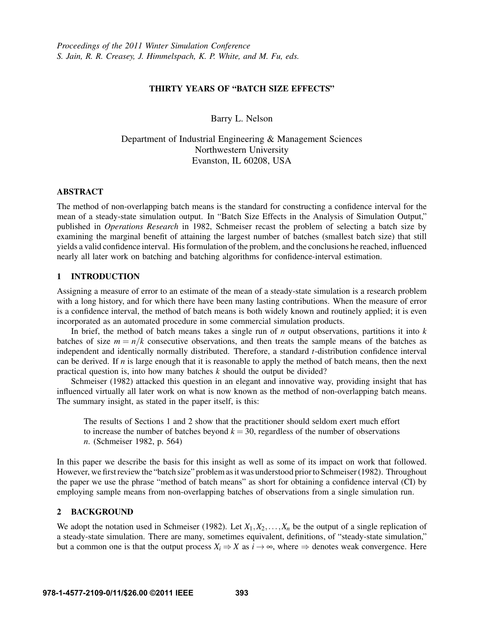## THIRTY YEARS OF "BATCH SIZE EFFECTS"

Barry L. Nelson

Department of Industrial Engineering & Management Sciences Northwestern University Evanston, IL 60208, USA

# ABSTRACT

The method of non-overlapping batch means is the standard for constructing a confidence interval for the mean of a steady-state simulation output. In "Batch Size Effects in the Analysis of Simulation Output," published in *Operations Research* in 1982, Schmeiser recast the problem of selecting a batch size by examining the marginal benefit of attaining the largest number of batches (smallest batch size) that still yields a valid confidence interval. His formulation of the problem, and the conclusions he reached, influenced nearly all later work on batching and batching algorithms for confidence-interval estimation.

# 1 INTRODUCTION

Assigning a measure of error to an estimate of the mean of a steady-state simulation is a research problem with a long history, and for which there have been many lasting contributions. When the measure of error is a confidence interval, the method of batch means is both widely known and routinely applied; it is even incorporated as an automated procedure in some commercial simulation products.

In brief, the method of batch means takes a single run of *n* output observations, partitions it into *k* batches of size  $m = n/k$  consecutive observations, and then treats the sample means of the batches as independent and identically normally distributed. Therefore, a standard *t*-distribution confidence interval can be derived. If *n* is large enough that it is reasonable to apply the method of batch means, then the next practical question is, into how many batches *k* should the output be divided?

Schmeiser (1982) attacked this question in an elegant and innovative way, providing insight that has influenced virtually all later work on what is now known as the method of non-overlapping batch means. The summary insight, as stated in the paper itself, is this:

The results of Sections 1 and 2 show that the practitioner should seldom exert much effort to increase the number of batches beyond  $k = 30$ , regardless of the number of observations *n*. (Schmeiser 1982, p. 564)

In this paper we describe the basis for this insight as well as some of its impact on work that followed. However, we first review the "batch size" problem as it was understood prior to Schmeiser (1982). Throughout the paper we use the phrase "method of batch means" as short for obtaining a confidence interval (CI) by employing sample means from non-overlapping batches of observations from a single simulation run.

## 2 BACKGROUND

We adopt the notation used in Schmeiser (1982). Let  $X_1, X_2, \ldots, X_n$  be the output of a single replication of a steady-state simulation. There are many, sometimes equivalent, definitions, of "steady-state simulation," but a common one is that the output process  $X_i \Rightarrow X$  as  $i \to \infty$ , where  $\Rightarrow$  denotes weak convergence. Here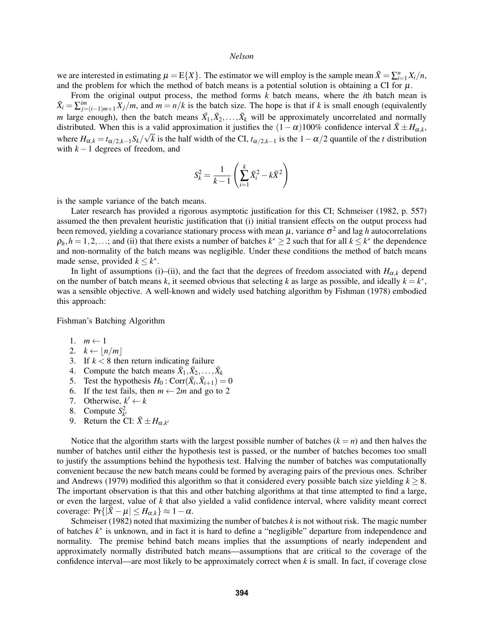we are interested in estimating  $\mu = E\{X\}$ . The estimator we will employ is the sample mean  $\bar{X} = \sum_{i=1}^{n} X_i/n$ , and the problem for which the method of batch means is a potential solution is obtaining a CI for  $\mu$ .

From the original output process, the method forms *k* batch means, where the *i*th batch mean is  $\bar{X}_i = \sum_{j=(i-1)m+1}^{im} X_j/m$ , and  $m = n/k$  is the batch size. The hope is that if *k* is small enough (equivalently *m* large enough), then the batch means  $\bar{X}_1, \bar{X}_2, \ldots, \bar{X}_k$  will be approximately uncorrelated and normally distributed. When this is a valid approximation it justifies the  $(1 - \alpha)100\%$  confidence interval  $\bar{X} \pm H_{\alpha,k}$ , where  $H_{\alpha,k} = t_{\alpha/2,k-1} S_k / \sqrt{k}$  is the half width of the CI,  $t_{\alpha/2,k-1}$  is the  $1-\alpha/2$  quantile of the *t* distribution with  $k-1$  degrees of freedom, and

$$
S_k^2 = \frac{1}{k-1} \left( \sum_{i=1}^k \bar{X}_i^2 - k \bar{X}^2 \right)
$$

is the sample variance of the batch means.

Later research has provided a rigorous asymptotic justification for this CI; Schmeiser (1982, p. 557) assumed the then prevalent heuristic justification that (i) initial transient effects on the output process had been removed, yielding a covariance stationary process with mean  $\mu$ , variance  $\sigma^2$  and lag h autocorrelations  $\rho_h$ ,  $h = 1, 2, \ldots$ ; and (ii) that there exists a number of batches  $k^* \ge 2$  such that for all  $k \le k^*$  the dependence and non-normality of the batch means was negligible. Under these conditions the method of batch means made sense, provided  $k \leq k^*$ .

In light of assumptions (i)–(ii), and the fact that the degrees of freedom associated with  $H_{\alpha,k}$  depend on the number of batch means *k*, it seemed obvious that selecting *k* as large as possible, and ideally  $k = k^*$ , was a sensible objective. A well-known and widely used batching algorithm by Fishman (1978) embodied this approach:

Fishman's Batching Algorithm

- 1.  $m \leftarrow 1$
- 2.  $k \leftarrow |n/m|$
- 3. If  $k < 8$  then return indicating failure
- 4. Compute the batch means  $\bar{X}_1, \bar{X}_2, \ldots, \bar{X}_k$
- 5. Test the hypothesis  $H_0$ : Corr $(\bar{X}_i, \bar{X}_{i+1}) = 0$
- 6. If the test fails, then  $m \leftarrow 2m$  and go to 2
- 7. Otherwise,  $k' \leftarrow k$
- 8. Compute  $S^2_{k'}$
- 9. Return the CI:  $\bar{X} \pm H_{\alpha,k'}$

Notice that the algorithm starts with the largest possible number of batches  $(k = n)$  and then halves the number of batches until either the hypothesis test is passed, or the number of batches becomes too small to justify the assumptions behind the hypothesis test. Halving the number of batches was computationally convenient because the new batch means could be formed by averaging pairs of the previous ones. Schriber and Andrews (1979) modified this algorithm so that it considered every possible batch size yielding  $k \geq 8$ . The important observation is that this and other batching algorithms at that time attempted to find a large, or even the largest, value of *k* that also yielded a valid confidence interval, where validity meant correct coverage:  $Pr\{|\bar{X} - \mu| \leq H_{\alpha,k}\} \approx 1 - \alpha$ .

Schmeiser (1982) noted that maximizing the number of batches *k* is not without risk. The magic number of batches  $k^*$  is unknown, and in fact it is hard to define a "negligible" departure from independence and normality. The premise behind batch means implies that the assumptions of nearly independent and approximately normally distributed batch means—assumptions that are critical to the coverage of the confidence interval—are most likely to be approximately correct when *k* is small. In fact, if coverage close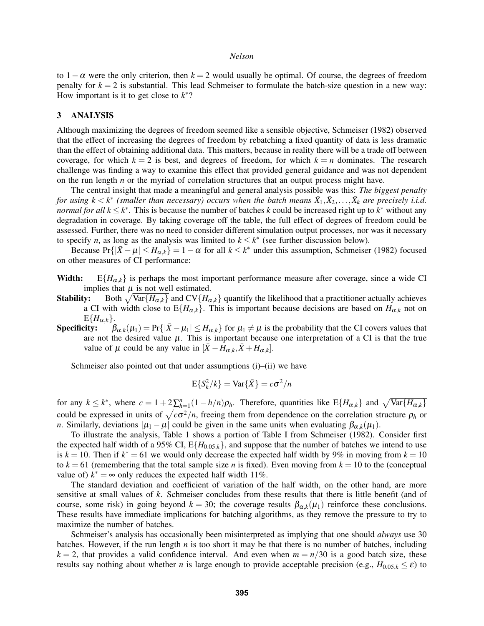to  $1-\alpha$  were the only criterion, then  $k = 2$  would usually be optimal. Of course, the degrees of freedom penalty for  $k = 2$  is substantial. This lead Schmeiser to formulate the batch-size question in a new way: How important is it to get close to  $k^*$ ?

### 3 ANALYSIS

Although maximizing the degrees of freedom seemed like a sensible objective, Schmeiser (1982) observed that the effect of increasing the degrees of freedom by rebatching a fixed quantity of data is less dramatic than the effect of obtaining additional data. This matters, because in reality there will be a trade off between coverage, for which  $k = 2$  is best, and degrees of freedom, for which  $k = n$  dominates. The research challenge was finding a way to examine this effect that provided general guidance and was not dependent on the run length *n* or the myriad of correlation structures that an output process might have.

The central insight that made a meaningful and general analysis possible was this: *The biggest penalty for using k*  $\lt k^*$  (smaller than necessary) occurs when the batch means  $\bar{X}_1, \bar{X}_2, \ldots, \bar{X}_k$  are precisely i.i.d. *normal for all*  $k \leq k^*$ . This is because the number of batches *k* could be increased right up to  $k^*$  without any degradation in coverage. By taking coverage off the table, the full effect of degrees of freedom could be assessed. Further, there was no need to consider different simulation output processes, nor was it necessary to specify *n*, as long as the analysis was limited to  $k \leq k^*$  (see further discussion below).

Because  $Pr\{|\bar{X} - \mu| \leq H_{\alpha,k}\} = 1 - \alpha$  for all  $k \leq k^*$  under this assumption, Schmeiser (1982) focused on other measures of CI performance:

- **Width:** E{ $H_{\alpha,k}$ } is perhaps the most important performance measure after coverage, since a wide CI implies that  $\mu$  is not well estimated.
- **Stability:** Both  $\sqrt{\text{Var}\{H_{\alpha,k}\}}$  and  $CV\{H_{\alpha,k}\}\$  quantify the likelihood that a practitioner actually achieves a CI with width close to  $E\{H_{\alpha,k}\}$ . This is important because decisions are based on  $H_{\alpha,k}$  not on  $E\{H_{\alpha,k}\}.$ <br>Specificity:  $\beta$
- Specificity:  $\beta_{\alpha,k}(\mu_1) = Pr\{|\bar{X} \mu_1| \leq H_{\alpha,k}\}\$  for  $\mu_1 \neq \mu$  is the probability that the CI covers values that are not the desired value  $\mu$ . This is important because one interpretation of a CI is that the true value of  $\mu$  could be any value in  $[\bar{X} - H_{\alpha,k}, \bar{X} + H_{\alpha,k}]$ .

Schmeiser also pointed out that under assumptions (i)–(ii) we have

$$
E\{S_k^2/k\} = \text{Var}\{\bar{X}\} = c\sigma^2/n
$$

for any  $k \leq k^*$ , where  $c = 1 + 2\sum_{h=1}^n (1 - h/n)\rho_h$ . Therefore, quantities like  $E\{H_{\alpha,k}\}\$  and  $\sqrt{\text{Var}\{H_{\alpha,k}\}}$ could be expressed in units of  $\sqrt{c\sigma^2/n}$ , freeing them from dependence on the correlation structure  $\rho_h$  or *n*. Similarly, deviations  $|\mu_1 - \mu|$  could be given in the same units when evaluating  $\beta_{\alpha,k}(\mu_1)$ .

To illustrate the analysis, Table 1 shows a portion of Table I from Schmeiser (1982). Consider first the expected half width of a 95% CI,  $E\{H_{0.05,k}\}$ , and suppose that the number of batches we intend to use is  $k = 10$ . Then if  $k^* = 61$  we would only decrease the expected half width by 9% in moving from  $k = 10$ to  $k = 61$  (remembering that the total sample size *n* is fixed). Even moving from  $k = 10$  to the (conceptual value of)  $k^* = \infty$  only reduces the expected half width 11%.

The standard deviation and coefficient of variation of the half width, on the other hand, are more sensitive at small values of *k*. Schmeiser concludes from these results that there is little benefit (and of course, some risk) in going beyond  $k = 30$ ; the coverage results  $\beta_{\alpha,k}(\mu_1)$  reinforce these conclusions. These results have immediate implications for batching algorithms, as they remove the pressure to try to maximize the number of batches.

Schmeiser's analysis has occasionally been misinterpreted as implying that one should *always* use 30 batches. However, if the run length *n* is too short it may be that there is no number of batches, including  $k = 2$ , that provides a valid confidence interval. And even when  $m = n/30$  is a good batch size, these results say nothing about whether *n* is large enough to provide acceptable precision (e.g.,  $H_{0.05,k} \leq \varepsilon$ ) to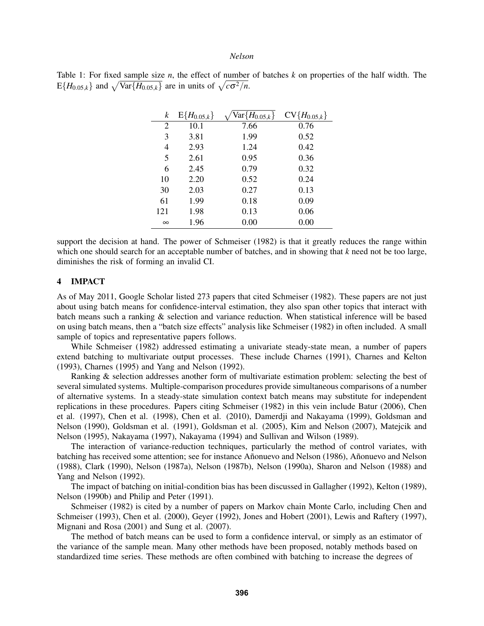|  |  |  |  |  |                                                                                                 |  |  | Table 1: For fixed sample size <i>n</i> , the effect of number of batches $k$ on properties of the half width. The |  |  |  |
|--|--|--|--|--|-------------------------------------------------------------------------------------------------|--|--|--------------------------------------------------------------------------------------------------------------------|--|--|--|
|  |  |  |  |  | $E\{H_{0.05,k}\}\$ and $\sqrt{\text{Var}\{H_{0.05,k}\}}$ are in units of $\sqrt{c\sigma^2/n}$ . |  |  |                                                                                                                    |  |  |  |

| k        | $E\{H_{0.05,k}\}\$ | $\bar{\mathsf{Var}}\{H_{0.05,k}\}$ | $CV\{H_{0.05,k}\}\$ |
|----------|--------------------|------------------------------------|---------------------|
| 2        | 10.1               | 7.66                               | 0.76                |
| 3        | 3.81               | 1.99                               | 0.52                |
| 4        | 2.93               | 1.24                               | 0.42                |
| 5        | 2.61               | 0.95                               | 0.36                |
| 6        | 2.45               | 0.79                               | 0.32                |
| 10       | 2.20               | 0.52                               | 0.24                |
| 30       | 2.03               | 0.27                               | 0.13                |
| 61       | 1.99               | 0.18                               | 0.09                |
| 121      | 1.98               | 0.13                               | 0.06                |
| $\infty$ | 1.96               | 0.00                               | 0.00                |

support the decision at hand. The power of Schmeiser (1982) is that it greatly reduces the range within which one should search for an acceptable number of batches, and in showing that *k* need not be too large, diminishes the risk of forming an invalid CI.

#### 4 IMPACT

As of May 2011, Google Scholar listed 273 papers that cited Schmeiser (1982). These papers are not just about using batch means for confidence-interval estimation, they also span other topics that interact with batch means such a ranking & selection and variance reduction. When statistical inference will be based on using batch means, then a "batch size effects" analysis like Schmeiser (1982) in often included. A small sample of topics and representative papers follows.

While Schmeiser (1982) addressed estimating a univariate steady-state mean, a number of papers extend batching to multivariate output processes. These include Charnes (1991), Charnes and Kelton (1993), Charnes (1995) and Yang and Nelson (1992).

Ranking & selection addresses another form of multivariate estimation problem: selecting the best of several simulated systems. Multiple-comparison procedures provide simultaneous comparisons of a number of alternative systems. In a steady-state simulation context batch means may substitute for independent replications in these procedures. Papers citing Schmeiser (1982) in this vein include Batur (2006), Chen et al. (1997), Chen et al. (1998), Chen et al. (2010), Damerdji and Nakayama (1999), Goldsman and Nelson (1990), Goldsman et al. (1991), Goldsman et al. (2005), Kim and Nelson (2007), Matejcik and Nelson (1995), Nakayama (1997), Nakayama (1994) and Sullivan and Wilson (1989).

The interaction of variance-reduction techniques, particularly the method of control variates, with batching has received some attention; see for instance Añonuevo and Nelson (1986), Añonuevo and Nelson (1988), Clark (1990), Nelson (1987a), Nelson (1987b), Nelson (1990a), Sharon and Nelson (1988) and Yang and Nelson (1992).

The impact of batching on initial-condition bias has been discussed in Gallagher (1992), Kelton (1989), Nelson (1990b) and Philip and Peter (1991).

Schmeiser (1982) is cited by a number of papers on Markov chain Monte Carlo, including Chen and Schmeiser (1993), Chen et al. (2000), Geyer (1992), Jones and Hobert (2001), Lewis and Raftery (1997), Mignani and Rosa (2001) and Sung et al. (2007).

The method of batch means can be used to form a confidence interval, or simply as an estimator of the variance of the sample mean. Many other methods have been proposed, notably methods based on standardized time series. These methods are often combined with batching to increase the degrees of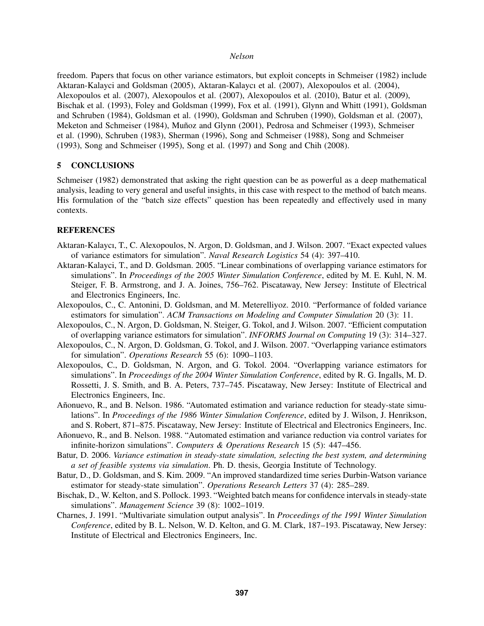freedom. Papers that focus on other variance estimators, but exploit concepts in Schmeiser (1982) include Aktaran-Kalayci and Goldsman (2005), Aktaran-Kalaycı et al. (2007), Alexopoulos et al. (2004), Alexopoulos et al. (2007), Alexopoulos et al. (2007), Alexopoulos et al. (2010), Batur et al. (2009), Bischak et al. (1993), Foley and Goldsman (1999), Fox et al. (1991), Glynn and Whitt (1991), Goldsman and Schruben (1984), Goldsman et al. (1990), Goldsman and Schruben (1990), Goldsman et al. (2007), Meketon and Schmeiser (1984), Muñoz and Glynn (2001), Pedrosa and Schmeiser (1993), Schmeiser et al. (1990), Schruben (1983), Sherman (1996), Song and Schmeiser (1988), Song and Schmeiser (1993), Song and Schmeiser (1995), Song et al. (1997) and Song and Chih (2008).

# 5 CONCLUSIONS

Schmeiser (1982) demonstrated that asking the right question can be as powerful as a deep mathematical analysis, leading to very general and useful insights, in this case with respect to the method of batch means. His formulation of the "batch size effects" question has been repeatedly and effectively used in many contexts.

# **REFERENCES**

- Aktaran-Kalaycı, T., C. Alexopoulos, N. Argon, D. Goldsman, and J. Wilson. 2007. "Exact expected values of variance estimators for simulation". *Naval Research Logistics* 54 (4): 397–410.
- Aktaran-Kalayci, T., and D. Goldsman. 2005. "Linear combinations of overlapping variance estimators for simulations". In *Proceedings of the 2005 Winter Simulation Conference*, edited by M. E. Kuhl, N. M. Steiger, F. B. Armstrong, and J. A. Joines, 756–762. Piscataway, New Jersey: Institute of Electrical and Electronics Engineers, Inc.
- Alexopoulos, C., C. Antonini, D. Goldsman, and M. Meterelliyoz. 2010. "Performance of folded variance estimators for simulation". *ACM Transactions on Modeling and Computer Simulation* 20 (3): 11.
- Alexopoulos, C., N. Argon, D. Goldsman, N. Steiger, G. Tokol, and J. Wilson. 2007. "Efficient computation of overlapping variance estimators for simulation". *INFORMS Journal on Computing* 19 (3): 314–327.
- Alexopoulos, C., N. Argon, D. Goldsman, G. Tokol, and J. Wilson. 2007. "Overlapping variance estimators for simulation". *Operations Research* 55 (6): 1090–1103.
- Alexopoulos, C., D. Goldsman, N. Argon, and G. Tokol. 2004. "Overlapping variance estimators for simulations". In *Proceedings of the 2004 Winter Simulation Conference*, edited by R. G. Ingalls, M. D. Rossetti, J. S. Smith, and B. A. Peters, 737–745. Piscataway, New Jersey: Institute of Electrical and Electronics Engineers, Inc.
- Añonuevo, R., and B. Nelson. 1986. "Automated estimation and variance reduction for steady-state simulations". In *Proceedings of the 1986 Winter Simulation Conference*, edited by J. Wilson, J. Henrikson, and S. Robert, 871–875. Piscataway, New Jersey: Institute of Electrical and Electronics Engineers, Inc.
- Añonuevo, R., and B. Nelson. 1988. "Automated estimation and variance reduction via control variates for infinite-horizon simulations". *Computers & Operations Research* 15 (5): 447–456.
- Batur, D. 2006. *Variance estimation in steady-state simulation, selecting the best system, and determining a set of feasible systems via simulation*. Ph. D. thesis, Georgia Institute of Technology.
- Batur, D., D. Goldsman, and S. Kim. 2009. "An improved standardized time series Durbin-Watson variance estimator for steady-state simulation". *Operations Research Letters* 37 (4): 285–289.
- Bischak, D., W. Kelton, and S. Pollock. 1993. "Weighted batch means for confidence intervals in steady-state simulations". *Management Science* 39 (8): 1002–1019.
- Charnes, J. 1991. "Multivariate simulation output analysis". In *Proceedings of the 1991 Winter Simulation Conference*, edited by B. L. Nelson, W. D. Kelton, and G. M. Clark, 187–193. Piscataway, New Jersey: Institute of Electrical and Electronics Engineers, Inc.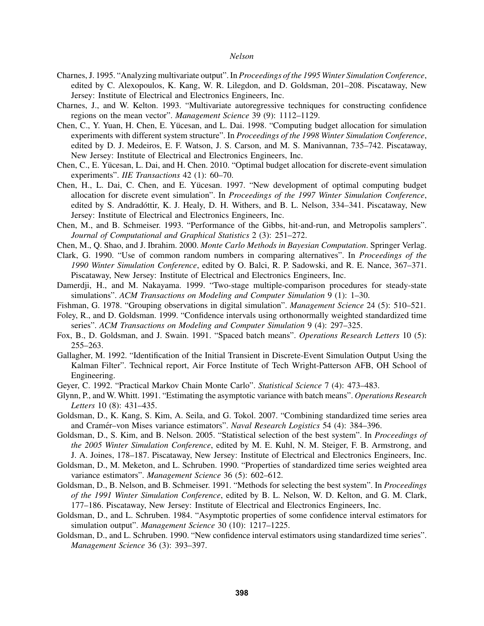- Charnes, J. 1995. "Analyzing multivariate output". In *Proceedings of the 1995 Winter Simulation Conference*, edited by C. Alexopoulos, K. Kang, W. R. Lilegdon, and D. Goldsman, 201–208. Piscataway, New Jersey: Institute of Electrical and Electronics Engineers, Inc.
- Charnes, J., and W. Kelton. 1993. "Multivariate autoregressive techniques for constructing confidence regions on the mean vector". *Management Science* 39 (9): 1112–1129.
- Chen, C., Y. Yuan, H. Chen, E. Yucesan, and L. Dai. 1998. "Computing budget allocation for simulation ¨ experiments with different system structure". In *Proceedings of the 1998 Winter Simulation Conference*, edited by D. J. Medeiros, E. F. Watson, J. S. Carson, and M. S. Manivannan, 735–742. Piscataway, New Jersey: Institute of Electrical and Electronics Engineers, Inc.
- Chen, C., E. Yucesan, L. Dai, and H. Chen. 2010. "Optimal budget allocation for discrete-event simulation ¨ experiments". *IIE Transactions* 42 (1): 60–70.
- Chen, H., L. Dai, C. Chen, and E. Yucesan. 1997. "New development of optimal computing budget ¨ allocation for discrete event simulation". In *Proceedings of the 1997 Winter Simulation Conference*, edited by S. Andradóttir, K. J. Healy, D. H. Withers, and B. L. Nelson, 334–341. Piscataway, New Jersey: Institute of Electrical and Electronics Engineers, Inc.
- Chen, M., and B. Schmeiser. 1993. "Performance of the Gibbs, hit-and-run, and Metropolis samplers". *Journal of Computational and Graphical Statistics* 2 (3): 251–272.
- Chen, M., Q. Shao, and J. Ibrahim. 2000. *Monte Carlo Methods in Bayesian Computation*. Springer Verlag.
- Clark, G. 1990. "Use of common random numbers in comparing alternatives". In *Proceedings of the 1990 Winter Simulation Conference*, edited by O. Balci, R. P. Sadowski, and R. E. Nance, 367–371. Piscataway, New Jersey: Institute of Electrical and Electronics Engineers, Inc.
- Damerdji, H., and M. Nakayama. 1999. "Two-stage multiple-comparison procedures for steady-state simulations". *ACM Transactions on Modeling and Computer Simulation* 9 (1): 1–30.
- Fishman, G. 1978. "Grouping observations in digital simulation". *Management Science* 24 (5): 510–521.
- Foley, R., and D. Goldsman. 1999. "Confidence intervals using orthonormally weighted standardized time series". *ACM Transactions on Modeling and Computer Simulation* 9 (4): 297–325.
- Fox, B., D. Goldsman, and J. Swain. 1991. "Spaced batch means". *Operations Research Letters* 10 (5): 255–263.
- Gallagher, M. 1992. "Identification of the Initial Transient in Discrete-Event Simulation Output Using the Kalman Filter". Technical report, Air Force Institute of Tech Wright-Patterson AFB, OH School of Engineering.
- Geyer, C. 1992. "Practical Markov Chain Monte Carlo". *Statistical Science* 7 (4): 473–483.
- Glynn, P., and W. Whitt. 1991. "Estimating the asymptotic variance with batch means". *Operations Research Letters* 10 (8): 431–435.
- Goldsman, D., K. Kang, S. Kim, A. Seila, and G. Tokol. 2007. "Combining standardized time series area and Cramér–von Mises variance estimators". *Naval Research Logistics* 54 (4): 384–396.
- Goldsman, D., S. Kim, and B. Nelson. 2005. "Statistical selection of the best system". In *Proceedings of the 2005 Winter Simulation Conference*, edited by M. E. Kuhl, N. M. Steiger, F. B. Armstrong, and J. A. Joines, 178–187. Piscataway, New Jersey: Institute of Electrical and Electronics Engineers, Inc.
- Goldsman, D., M. Meketon, and L. Schruben. 1990. "Properties of standardized time series weighted area variance estimators". *Management Science* 36 (5): 602–612.
- Goldsman, D., B. Nelson, and B. Schmeiser. 1991. "Methods for selecting the best system". In *Proceedings of the 1991 Winter Simulation Conference*, edited by B. L. Nelson, W. D. Kelton, and G. M. Clark, 177–186. Piscataway, New Jersey: Institute of Electrical and Electronics Engineers, Inc.
- Goldsman, D., and L. Schruben. 1984. "Asymptotic properties of some confidence interval estimators for simulation output". *Management Science* 30 (10): 1217–1225.
- Goldsman, D., and L. Schruben. 1990. "New confidence interval estimators using standardized time series". *Management Science* 36 (3): 393–397.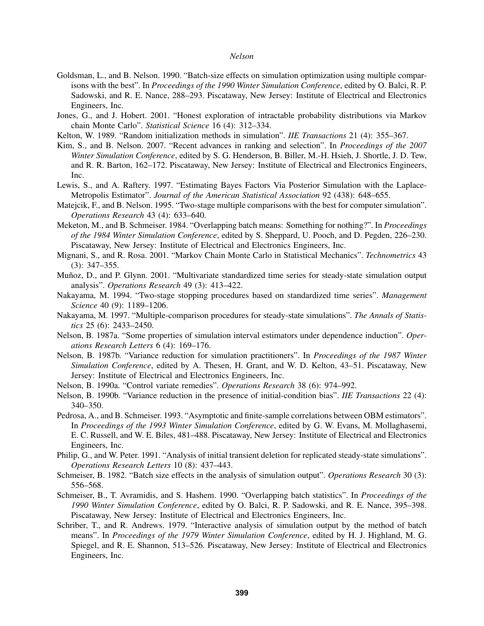- Goldsman, L., and B. Nelson. 1990. "Batch-size effects on simulation optimization using multiple comparisons with the best". In *Proceedings of the 1990 Winter Simulation Conference*, edited by O. Balci, R. P. Sadowski, and R. E. Nance, 288–293. Piscataway, New Jersey: Institute of Electrical and Electronics Engineers, Inc.
- Jones, G., and J. Hobert. 2001. "Honest exploration of intractable probability distributions via Markov chain Monte Carlo". *Statistical Science* 16 (4): 312–334.
- Kelton, W. 1989. "Random initialization methods in simulation". *IIE Transactions* 21 (4): 355–367.
- Kim, S., and B. Nelson. 2007. "Recent advances in ranking and selection". In *Proceedings of the 2007 Winter Simulation Conference*, edited by S. G. Henderson, B. Biller, M.-H. Hsieh, J. Shortle, J. D. Tew, and R. R. Barton, 162–172. Piscataway, New Jersey: Institute of Electrical and Electronics Engineers, Inc.
- Lewis, S., and A. Raftery. 1997. "Estimating Bayes Factors Via Posterior Simulation with the Laplace-Metropolis Estimator". *Journal of the American Statistical Association* 92 (438): 648–655.
- Matejcik, F., and B. Nelson. 1995. "Two-stage multiple comparisons with the best for computer simulation". *Operations Research* 43 (4): 633–640.
- Meketon, M., and B. Schmeiser. 1984. "Overlapping batch means: Something for nothing?". In *Proceedings of the 1984 Winter Simulation Conference*, edited by S. Sheppard, U. Pooch, and D. Pegden, 226–230. Piscataway, New Jersey: Institute of Electrical and Electronics Engineers, Inc.
- Mignani, S., and R. Rosa. 2001. "Markov Chain Monte Carlo in Statistical Mechanics". *Technometrics* 43 (3): 347–355.
- Muñoz, D., and P. Glynn. 2001. "Multivariate standardized time series for steady-state simulation output analysis". *Operations Research* 49 (3): 413–422.
- Nakayama, M. 1994. "Two-stage stopping procedures based on standardized time series". *Management Science* 40 (9): 1189–1206.
- Nakayama, M. 1997. "Multiple-comparison procedures for steady-state simulations". *The Annals of Statistics* 25 (6): 2433–2450.
- Nelson, B. 1987a. "Some properties of simulation interval estimators under dependence induction". *Operations Research Letters* 6 (4): 169–176.
- Nelson, B. 1987b. "Variance reduction for simulation practitioners". In *Proceedings of the 1987 Winter Simulation Conference*, edited by A. Thesen, H. Grant, and W. D. Kelton, 43–51. Piscataway, New Jersey: Institute of Electrical and Electronics Engineers, Inc.
- Nelson, B. 1990a. "Control variate remedies". *Operations Research* 38 (6): 974–992.
- Nelson, B. 1990b. "Variance reduction in the presence of initial-condition bias". *IIE Transactions* 22 (4): 340–350.
- Pedrosa, A., and B. Schmeiser. 1993. "Asymptotic and finite-sample correlations between OBM estimators". In *Proceedings of the 1993 Winter Simulation Conference*, edited by G. W. Evans, M. Mollaghasemi, E. C. Russell, and W. E. Biles, 481–488. Piscataway, New Jersey: Institute of Electrical and Electronics Engineers, Inc.
- Philip, G., and W. Peter. 1991. "Analysis of initial transient deletion for replicated steady-state simulations". *Operations Research Letters* 10 (8): 437–443.
- Schmeiser, B. 1982. "Batch size effects in the analysis of simulation output". *Operations Research* 30 (3): 556–568.
- Schmeiser, B., T. Avramidis, and S. Hashem. 1990. "Overlapping batch statistics". In *Proceedings of the 1990 Winter Simulation Conference*, edited by O. Balci, R. P. Sadowski, and R. E. Nance, 395–398. Piscataway, New Jersey: Institute of Electrical and Electronics Engineers, Inc.
- Schriber, T., and R. Andrews. 1979. "Interactive analysis of simulation output by the method of batch means". In *Proceedings of the 1979 Winter Simulation Conference*, edited by H. J. Highland, M. G. Spiegel, and R. E. Shannon, 513–526. Piscataway, New Jersey: Institute of Electrical and Electronics Engineers, Inc.